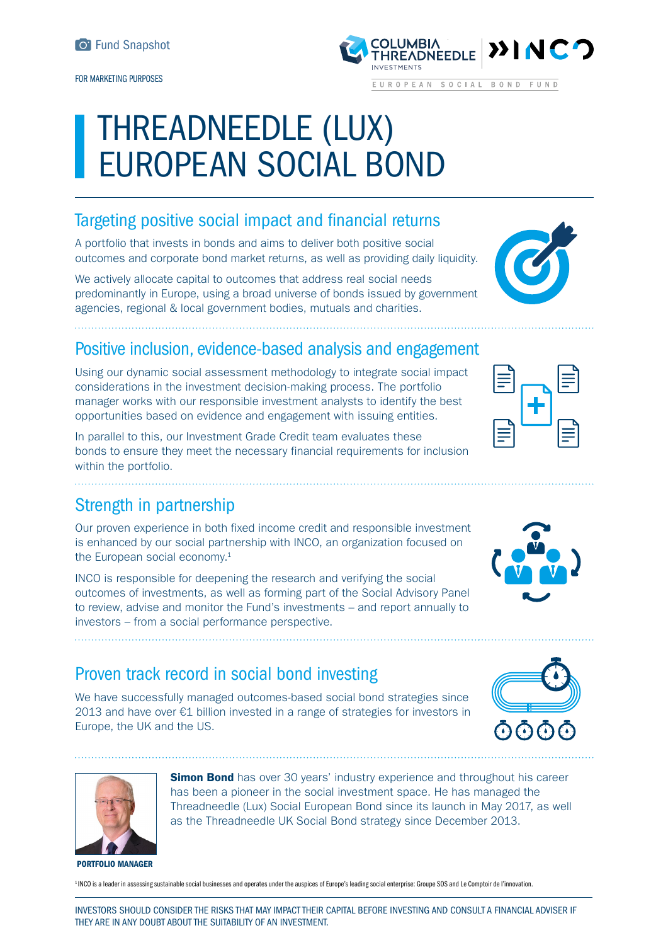FOR MARKETING PURPOSES

# THREADNEEDLE (LUX) EUROPEAN SOCIAL BOND

# Targeting positive social impact and financial returns

A portfolio that invests in bonds and aims to deliver both positive social outcomes and corporate bond market returns, as well as providing daily liquidity.

We actively allocate capital to outcomes that address real social needs predominantly in Europe, using a broad universe of bonds issued by government agencies, regional & local government bodies, mutuals and charities.

### Positive inclusion, evidence-based analysis and engagement

Using our dynamic social assessment methodology to integrate social impact considerations in the investment decision-making process. The portfolio manager works with our responsible investment analysts to identify the best opportunities based on evidence and engagement with issuing entities.

In parallel to this, our Investment Grade Credit team evaluates these bonds to ensure they meet the necessary financial requirements for inclusion within the portfolio.

### Strength in partnership

Our proven experience in both fixed income credit and responsible investment is enhanced by our social partnership with INCO, an organization focused on the European social economy.<sup>1</sup>

INCO is responsible for deepening the research and verifying the social outcomes of investments, as well as forming part of the Social Advisory Panel to review, advise and monitor the Fund's investments – and report annually to investors – from a social performance perspective.

# Proven track record in social bond investing

We have successfully managed outcomes-based social bond strategies since 2013 and have over €1 billion invested in a range of strategies for investors in Europe, the UK and the US.

> **Simon Bond** has over 30 years' industry experience and throughout his career has been a pioneer in the social investment space. He has managed the Threadneedle (Lux) Social European Bond since its launch in May 2017, as well as the Threadneedle UK Social Bond strategy since December 2013.

#### PORTFOLIO MANAGER

1 INCO is a leader in assessing sustainable social businesses and operates under the auspices of Europe's leading social enterprise: Groupe SOS and Le Comptoir de l'innovation.

INVESTORS SHOULD CONSIDER THE RISKS THAT MAY IMPACT THEIR CAPITAL BEFORE INVESTING AND CONSULT A FINANCIAL ADVISER IF THEY ARE IN ANY DOUBT ABOUT THE SUITABILITY OF AN INVESTMENT.